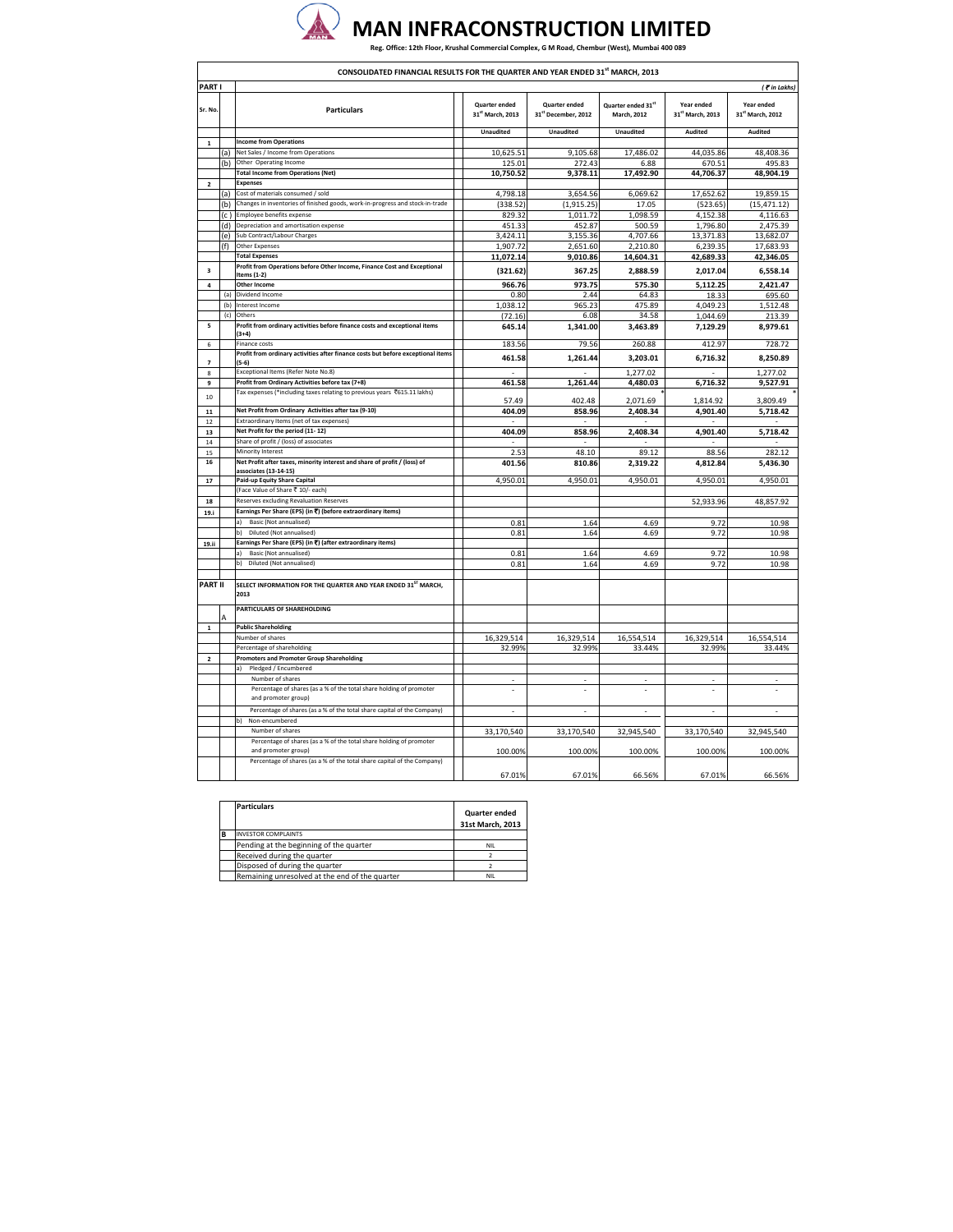

h

٦

|                  | CONSOLIDATED FINANCIAL RESULTS FOR THE QUARTER AND YEAR ENDED 31 <sup>st</sup> MARCH, 2013 |                                                                                                    |                                          |                                             |                                   |                                |                                |
|------------------|--------------------------------------------------------------------------------------------|----------------------------------------------------------------------------------------------------|------------------------------------------|---------------------------------------------|-----------------------------------|--------------------------------|--------------------------------|
| PART I           |                                                                                            |                                                                                                    |                                          |                                             |                                   |                                | ( Tin Lakhs)                   |
| Sr. No.          |                                                                                            | <b>Particulars</b>                                                                                 | <b>Quarter ended</b><br>31st March, 2013 | <b>Quarter ended</b><br>31st December, 2012 | Quarter ended 31st<br>March, 2012 | Year ended<br>31st March, 2013 | Year ended<br>31st March, 2012 |
|                  |                                                                                            |                                                                                                    | <b>Unaudited</b>                         | <b>Unaudited</b>                            | Unaudited                         | Audited                        | Audited                        |
| $\mathbf 1$      |                                                                                            | <b>Income from Operations</b>                                                                      |                                          |                                             |                                   |                                |                                |
|                  | (a)                                                                                        | Net Sales / Income from Operations<br>Other Operating Income                                       | 10,625.51                                | 9,105.68                                    | 17,486.02                         | 44,035.86                      | 48,408.36                      |
|                  | (b)                                                                                        | <b>Total Income from Operations (Net)</b>                                                          | 125.01<br>10,750.52                      | 272.43<br>9,378.11                          | 6.88<br>17,492.90                 | 670.51<br>44,706.37            | 495.83<br>48,904.19            |
| $\overline{a}$   |                                                                                            | <b>Expenses</b>                                                                                    |                                          |                                             |                                   |                                |                                |
|                  | (a)                                                                                        | Cost of materials consumed / sold                                                                  | 4,798.18                                 | 3,654.56                                    | 6,069.62                          | 17,652.62                      | 19,859.15                      |
|                  | (b)                                                                                        | Changes in inventories of finished goods, work-in-progress and stock-in-trade                      | (338.52)                                 | (1, 915.25)                                 | 17.05                             | (523.65)                       | (15, 471.12)                   |
|                  | (c)                                                                                        | Employee benefits expense                                                                          | 829.32                                   | 1,011.72                                    | 1,098.59                          | 4,152.38                       | 4,116.63                       |
|                  | (d)                                                                                        | Depreciation and amortisation expense                                                              | 451.33                                   | 452.87                                      | 500.59                            | 1,796.80                       | 2,475.39                       |
|                  | (e)                                                                                        | Sub Contract/Labour Charges<br><b>Other Expenses</b>                                               | 3,424.11                                 | 3,155.36                                    | 4,707.66                          | 13,371.83                      | 13,682.07                      |
|                  | (f)                                                                                        | <b>Total Expenses</b>                                                                              | 1,907.72<br>11,072.14                    | 2,651.60<br>9,010.86                        | 2,210.80<br>14,604.31             | 6,239.35<br>42,689.33          | 17,683.93<br>42,346.05         |
|                  |                                                                                            | Profit from Operations before Other Income, Finance Cost and Exceptional                           |                                          |                                             |                                   |                                |                                |
| 3                |                                                                                            | Items (1-2)                                                                                        | (321.62)                                 | 367.25                                      | 2,888.59                          | 2,017.04                       | 6,558.14                       |
| 4                |                                                                                            | <b>Other Income</b>                                                                                | 966.76                                   | 973.75                                      | 575.30                            | 5,112.25                       | 2,421.47                       |
|                  | (a)<br>(b)                                                                                 | Dividend Income<br>Interest Income                                                                 | 0.80                                     | 2.44                                        | 64.83                             | 18.33                          | 695.60                         |
|                  | (c)                                                                                        | Others                                                                                             | 1,038.12                                 | 965.23                                      | 475.89                            | 4,049.23                       | 1,512.48                       |
| 5                |                                                                                            | Profit from ordinary activities before finance costs and exceptional items                         | (72.16)<br>645.14                        | 6.08<br>1,341.00                            | 34.58<br>3,463.89                 | 1,044.69<br>7,129.29           | 213.39<br>8,979.61             |
|                  |                                                                                            | $(3+4)$                                                                                            |                                          |                                             |                                   |                                |                                |
| 6                |                                                                                            | Finance costs                                                                                      | 183.56                                   | 79.56                                       | 260.88                            | 412.97                         | 728.72                         |
| 7                |                                                                                            | Profit from ordinary activities after finance costs but before exceptional items<br>$(5-6)$        | 461.58                                   | 1,261.44                                    | 3,203.01                          | 6,716.32                       | 8,250.89                       |
| 8                |                                                                                            | Exceptional Items (Refer Note No.8)                                                                | $\sim$                                   |                                             | 1,277.02                          |                                | 1,277.02                       |
| 9                |                                                                                            | Profit from Ordinary Activities before tax (7+8)                                                   | 461.58                                   | 1,261.44                                    | 4,480.03                          | 6,716.32                       | 9,527.91                       |
| 10               |                                                                                            | Tax expenses (*including taxes relating to previous years ₹615.11 lakhs)                           |                                          |                                             |                                   |                                |                                |
|                  |                                                                                            | Net Profit from Ordinary Activities after tax (9-10)                                               | 57.49                                    | 402.48                                      | 2,071.69                          | 1,814.92                       | 3,809.49                       |
| ${\bf 11}$<br>12 |                                                                                            | Extraordinary Items (net of tax expenses)                                                          | 404.09                                   | 858.96                                      | 2,408.34                          | 4,901.40                       | 5,718.42                       |
| 13               |                                                                                            | Net Profit for the period (11-12)                                                                  | 404.09                                   | 858.96                                      | 2,408.34                          | 4,901.40                       | 5,718.42                       |
| $14\,$           |                                                                                            | Share of profit / (loss) of associates                                                             |                                          |                                             |                                   |                                |                                |
| 15               |                                                                                            | Minority Interest                                                                                  | 2.53                                     | 48.10                                       | 89.12                             | 88.56                          | 282.12                         |
| 16               |                                                                                            | Net Profit after taxes, minority interest and share of profit / (loss) of<br>associates (13-14-15) | 401.56                                   | 810.86                                      | 2,319.22                          | 4,812.84                       | 5,436.30                       |
| $17\,$           |                                                                                            | Paid-up Equity Share Capital                                                                       | 4,950.01                                 | 4,950.01                                    | 4,950.01                          | 4,950.01                       | 4,950.01                       |
|                  |                                                                                            | (Face Value of Share ₹ 10/- each)                                                                  |                                          |                                             |                                   |                                |                                |
| 18               |                                                                                            | Reserves excluding Revaluation Reserves                                                            |                                          |                                             |                                   | 52,933.96                      | 48,857.92                      |
| 19.i             |                                                                                            | Earnings Per Share (EPS) (in ₹) (before extraordinary items)                                       |                                          |                                             |                                   |                                |                                |
|                  |                                                                                            | Basic (Not annualised)<br>a)<br>Diluted (Not annualised)                                           | 0.81<br>0.81                             | 1.64<br>1.64                                | 4.69<br>4.69                      | 9.72<br>9.72                   | 10.98<br>10.98                 |
| 19.ii            |                                                                                            | Earnings Per Share (EPS) (in ₹) (after extraordinary items)                                        |                                          |                                             |                                   |                                |                                |
|                  |                                                                                            | Basic (Not annualised)<br>a)                                                                       | 0.81                                     | 1.64                                        | 4.69                              | 9.72                           | 10.98                          |
|                  |                                                                                            | Diluted (Not annualised)<br>b)                                                                     | 0.81                                     | 1.64                                        | 4.69                              | 9.72                           | 10.98                          |
| <b>PART II</b>   |                                                                                            | SELECT INFORMATION FOR THE QUARTER AND YEAR ENDED 31 <sup>ST</sup> MARCH,<br>2013                  |                                          |                                             |                                   |                                |                                |
|                  |                                                                                            | PARTICULARS OF SHAREHOLDING                                                                        |                                          |                                             |                                   |                                |                                |
| $\mathbf{1}$     |                                                                                            | <b>Public Shareholding</b>                                                                         |                                          |                                             |                                   |                                |                                |
|                  |                                                                                            | Number of shares                                                                                   | 16,329,514                               | 16,329,514                                  | 16,554,514                        | 16,329,514                     | 16,554,514                     |
|                  |                                                                                            | Percentage of shareholding                                                                         | 32.99%                                   | 32.99%                                      | 33.44%                            | 32.99%                         | 33.44%                         |
| $\overline{a}$   |                                                                                            | <b>Promoters and Promoter Group Shareholding</b>                                                   |                                          |                                             |                                   |                                |                                |
|                  |                                                                                            | Pledged / Encumbered<br>a)<br>Number of shares                                                     |                                          |                                             |                                   |                                |                                |
|                  |                                                                                            | Percentage of shares (as a % of the total share holding of promoter<br>and promoter group          | ÷,                                       |                                             | ÷,                                |                                |                                |
|                  |                                                                                            | Percentage of shares (as a % of the total share capital of the Company)                            | ×.                                       | ÷.                                          | ÷,                                | ×.                             | ÷.                             |
|                  |                                                                                            | Non-encumbered<br>b)                                                                               |                                          |                                             |                                   |                                |                                |
|                  |                                                                                            | Number of shares<br>Percentage of shares (as a % of the total share holding of promoter            | 33,170,540                               | 33,170,540                                  | 32,945,540                        | 33,170,540                     | 32,945,540                     |
|                  |                                                                                            | and promoter group]<br>Percentage of shares (as a % of the total share capital of the Company)     | 100.00%                                  | 100.00%                                     | 100.00%                           | 100.00%                        | 100.00%                        |
|                  |                                                                                            |                                                                                                    | 67.01%                                   | 67.01%                                      | 66.56%                            | 67.01%                         | 66.56%                         |

| <b>Particulars</b>                             | Quarter ended<br>31st March. 2013 |
|------------------------------------------------|-----------------------------------|
| <b>INVESTOR COMPLAINTS</b>                     |                                   |
| Pending at the beginning of the quarter        | NIL                               |
| Received during the quarter                    |                                   |
| Disposed of during the quarter                 |                                   |
| Remaining unresolved at the end of the quarter | NIL                               |